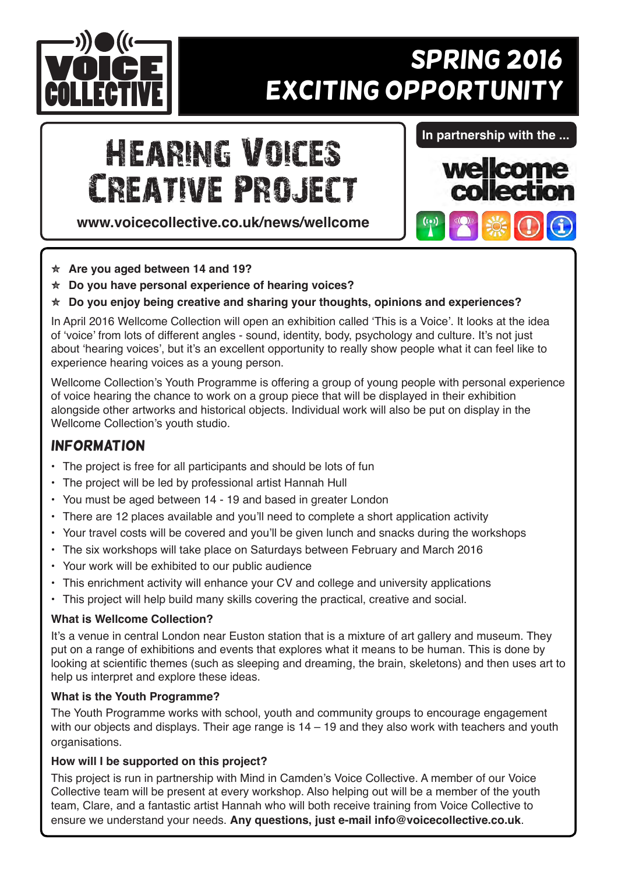

# **SPRING 2016 EXCITING OPPORTUNITY**

# Hearing Voices Creative Project

**www.voicecollective.co.uk/news/wellcome**

#### **In partnership with the ...**



- Y **Are you aged between 14 and 19?**
- Y **Do you have personal experience of hearing voices?**
- **★ Do you enjoy being creative and sharing your thoughts, opinions and experiences?**

In April 2016 Wellcome Collection will open an exhibition called 'This is a Voice'. It looks at the idea of 'voice' from lots of different angles - sound, identity, body, psychology and culture. It's not just about 'hearing voices', but it's an excellent opportunity to really show people what it can feel like to experience hearing voices as a young person.

Wellcome Collection's Youth Programme is offering a group of young people with personal experience of voice hearing the chance to work on a group piece that will be displayed in their exhibition alongside other artworks and historical objects. Individual work will also be put on display in the Wellcome Collection's youth studio.

## **INFORMATION**

- The project is free for all participants and should be lots of fun
- The project will be led by professional artist Hannah Hull
- You must be aged between 14 19 and based in greater London
- There are 12 places available and you'll need to complete a short application activity
- Your travel costs will be covered and you'll be given lunch and snacks during the workshops
- The six workshops will take place on Saturdays between February and March 2016
- Your work will be exhibited to our public audience
- This enrichment activity will enhance your CV and college and university applications
- This project will help build many skills covering the practical, creative and social.

#### **What is Wellcome Collection?**

It's a venue in central London near Euston station that is a mixture of art gallery and museum. They put on a range of exhibitions and events that explores what it means to be human. This is done by looking at scientific themes (such as sleeping and dreaming, the brain, skeletons) and then uses art to help us interpret and explore these ideas.

#### **What is the Youth Programme?**

The Youth Programme works with school, youth and community groups to encourage engagement with our objects and displays. Their age range is 14 – 19 and they also work with teachers and youth organisations.

#### **How will I be supported on this project?**

This project is run in partnership with Mind in Camden's Voice Collective. A member of our Voice Collective team will be present at every workshop. Also helping out will be a member of the youth team, Clare, and a fantastic artist Hannah who will both receive training from Voice Collective to ensure we understand your needs. **Any questions, just e-mail info@voicecollective.co.uk**.